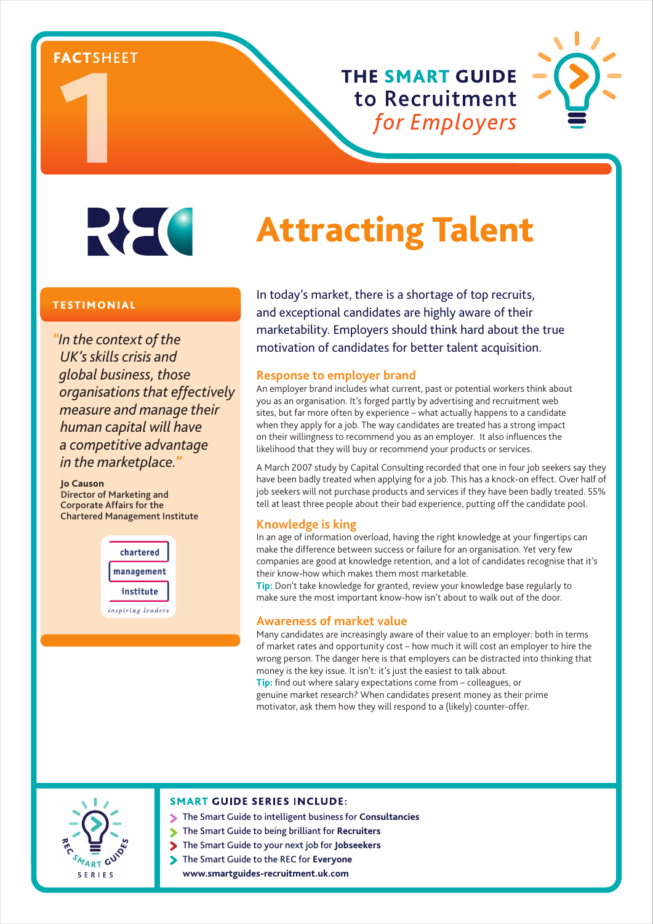FACTSHE

**THE SMART GUIDE** to Recruitment for Employers



REC

# Attracting Talent

# **TESTIMONIAL**

*"In the context of the UK's skills crisis and global business, those organisations that effectively measure and manage their human capital will have a competitive advantage in the marketplace."*

**Jo Causon** Director of Marketing and Corporate Affairs for the Chartered Management Institute



In today's market, there is a shortage of top recruits, and exceptional candidates are highly aware of their marketability. Employers should think hard about the true motivation of candidates for better talent acquisition.

#### **Response to employer brand**

An employer brand includes what current, past or potential workers think about you as an organisation. It's forged partly by advertising and recruitment web sites, but far more often by experience – what actually happens to a candidate when they apply for a job. The way candidates are treated has a strong impact on their willingness to recommend you as an employer. It also influences the likelihood that they will buy or recommend your products or services.

A March 2007 study by Capital Consulting recorded that one in four job seekers say they have been badly treated when applying for a job. This has a knock-on effect. Over half of job seekers will not purchase products and services if they have been badly treated. 55% tell at least three people about their bad experience, putting off the candidate pool.

# **Knowledge is king**

In an age of information overload, having the right knowledge at your fingertips can make the difference between success or failure for an organisation. Yet very few companies are good at knowledge retention, and a lot of candidates recognise that it's their know-how which makes them most marketable.

**Tip:** Don't take knowledge for granted, review your knowledge base regularly to make sure the most important know-how isn't about to walk out of the door.

#### **Awareness of market value**

Many candidates are increasingly aware of their value to an employer: both in terms of market rates and opportunity cost – how much it will cost an employer to hire the wrong person. The danger here is that employers can be distracted into thinking that money is the key issue. It isn't: it's just the easiest to talk about.

**Tip:** find out where salary expectations come from – colleagues, or genuine market research? When candidates present money as their prime motivator, ask them how they will respond to a (likely) counter-offer.



#### **SMART GUIDE SERIES INCLUDE:**

- The Smart Guide to intelligent business for **Consultancies**
	- The Smart Guide to being brilliant for **Recruiters**
- The Smart Guide to your next job for **Jobseekers**
- The Smart Guide to the REC for **Everyone www.smartguides-recruitment.uk.com**